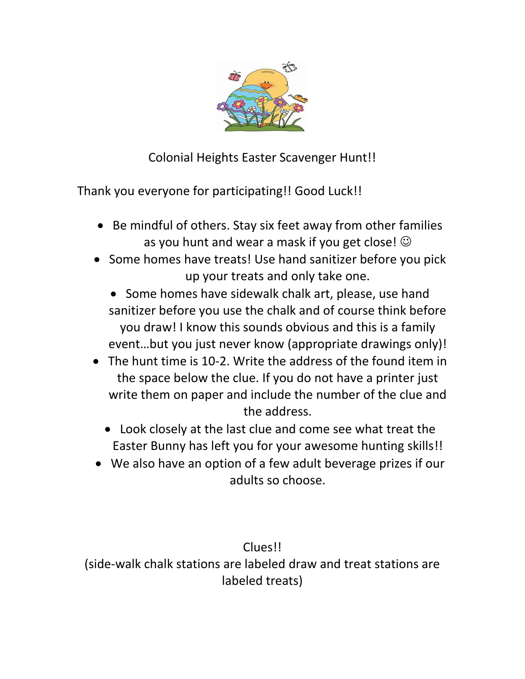

Colonial Heights Easter Scavenger Hunt!!

Thank you everyone for participating!! Good Luck!!

- Be mindful of others. Stay six feet away from other families as you hunt and wear a mask if you get close!  $\odot$
- Some homes have treats! Use hand sanitizer before you pick up your treats and only take one.
	- Some homes have sidewalk chalk art, please, use hand sanitizer before you use the chalk and of course think before you draw! I know this sounds obvious and this is a family event…but you just never know (appropriate drawings only)!
- The hunt time is 10-2. Write the address of the found item in the space below the clue. If you do not have a printer just write them on paper and include the number of the clue and the address.
	- Look closely at the last clue and come see what treat the Easter Bunny has left you for your awesome hunting skills!!
- We also have an option of a few adult beverage prizes if our adults so choose.

Clues!! (side-walk chalk stations are labeled draw and treat stations are labeled treats)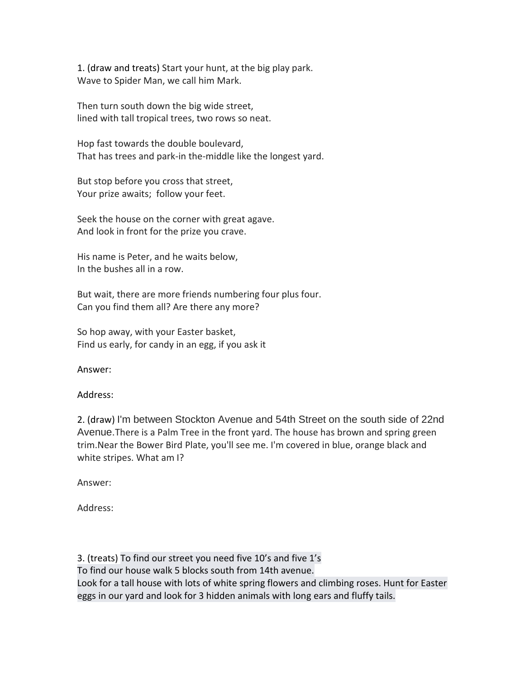1. (draw and treats) Start your hunt, at the big play park. Wave to Spider Man, we call him Mark.

Then turn south down the big wide street, lined with tall tropical trees, two rows so neat.

Hop fast towards the double boulevard, That has trees and park-in the-middle like the longest yard.

But stop before you cross that street, Your prize awaits; follow your feet.

Seek the house on the corner with great agave. And look in front for the prize you crave.

His name is Peter, and he waits below, In the bushes all in a row.

But wait, there are more friends numbering four plus four. Can you find them all? Are there any more?

So hop away, with your Easter basket, Find us early, for candy in an egg, if you ask it

Answer:

# Address:

2. (draw) I'm between Stockton Avenue and 54th Street on the south side of 22nd Avenue.There is a Palm Tree in the front yard. The house has brown and spring green trim.Near the Bower Bird Plate, you'll see me. I'm covered in blue, orange black and white stripes. What am I?

Answer:

Address:

3. (treats) To find our street you need five 10's and five 1's To find our house walk 5 blocks south from 14th avenue. Look for a tall house with lots of white spring flowers and climbing roses. Hunt for Easter eggs in our yard and look for 3 hidden animals with long ears and fluffy tails.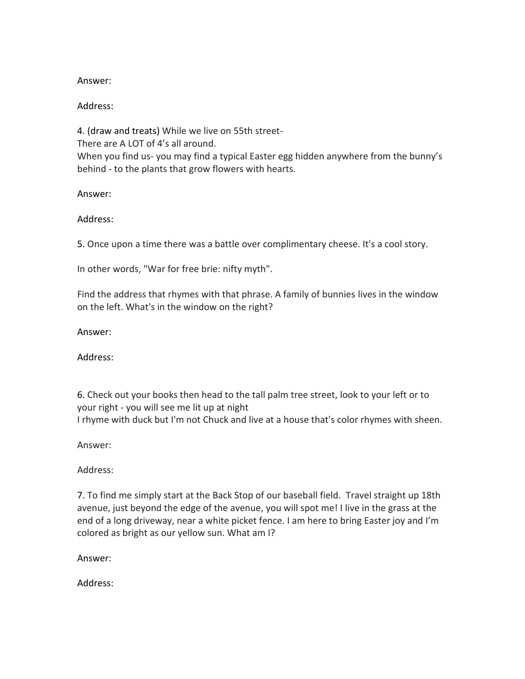#### Answer:

# Address:

4. (draw and treats) While we live on 55th street-There are A LOT of 4's all around. When you find us- you may find a typical Easter egg hidden anywhere from the bunny's behind - to the plants that grow flowers with hearts.

Answer:

Address:

5. Once upon a time there was a battle over complimentary cheese. It's a cool story.

In other words, "War for free brie: nifty myth".

Find the address that rhymes with that phrase. A family of bunnies lives in the window on the left. What's in the window on the right?

Answer:

Address:

6. Check out your books then head to the tall palm tree street, look to your left or to your right - you will see me lit up at night I rhyme with duck but I'm not Chuck and live at a house that's color rhymes with sheen.

Answer:

Address:

7. To find me simply start at the Back Stop of our baseball field. Travel straight up 18th avenue, just beyond the edge of the avenue, you will spot me! I live in the grass at the end of a long driveway, near a white picket fence. I am here to bring Easter joy and I'm colored as bright as our yellow sun. What am I?

Answer:

Address: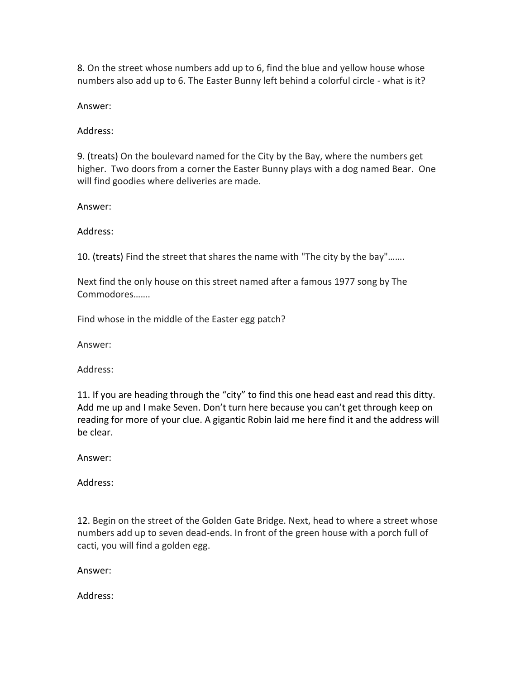8. On the street whose numbers add up to 6, find the blue and yellow house whose numbers also add up to 6. The Easter Bunny left behind a colorful circle - what is it?

Answer:

Address:

9. (treats) On the boulevard named for the City by the Bay, where the numbers get higher. Two doors from a corner the Easter Bunny plays with a dog named Bear. One will find goodies where deliveries are made.

Answer:

Address:

10. (treats) Find the street that shares the name with "The city by the bay"…….

Next find the only house on this street named after a famous 1977 song by The Commodores…….

Find whose in the middle of the Easter egg patch?

Answer:

Address:

11. If you are heading through the "city" to find this one head east and read this ditty. Add me up and I make Seven. Don't turn here because you can't get through keep on reading for more of your clue. A gigantic Robin laid me here find it and the address will be clear.

Answer:

Address:

12. Begin on the street of the Golden Gate Bridge. Next, head to where a street whose numbers add up to seven dead-ends. In front of the green house with a porch full of cacti, you will find a golden egg.

Answer:

Address: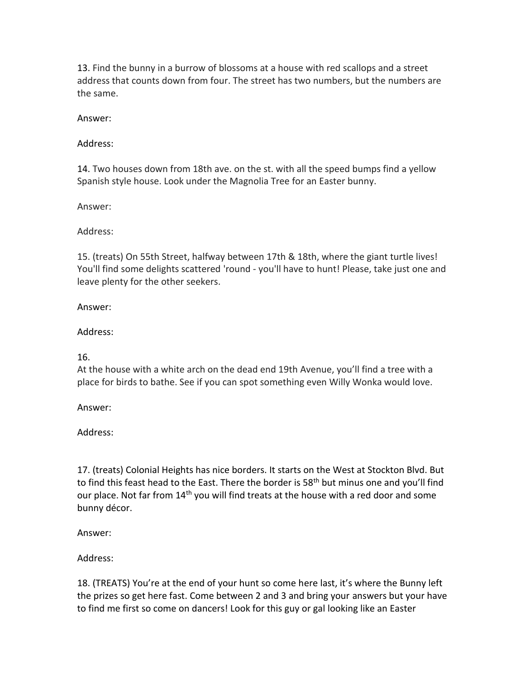13. Find the bunny in a burrow of blossoms at a house with red scallops and a street address that counts down from four. The street has two numbers, but the numbers are the same.

## Answer:

## Address:

14. Two houses down from 18th ave. on the st. with all the speed bumps find a yellow Spanish style house. Look under the Magnolia Tree for an Easter bunny.

Answer:

### Address:

15. (treats) On 55th Street, halfway between 17th & 18th, where the giant turtle lives! You'll find some delights scattered 'round - you'll have to hunt! Please, take just one and leave plenty for the other seekers.

### Answer:

# Address:

# 16.

At the house with a white arch on the dead end 19th Avenue, you'll find a tree with a place for birds to bathe. See if you can spot something even Willy Wonka would love.

Answer:

Address:

17. (treats) Colonial Heights has nice borders. It starts on the West at Stockton Blvd. But to find this feast head to the East. There the border is 58<sup>th</sup> but minus one and you'll find our place. Not far from 14<sup>th</sup> you will find treats at the house with a red door and some bunny décor.

Answer:

Address:

18. (TREATS) You're at the end of your hunt so come here last, it's where the Bunny left the prizes so get here fast. Come between 2 and 3 and bring your answers but your have to find me first so come on dancers! Look for this guy or gal looking like an Easter